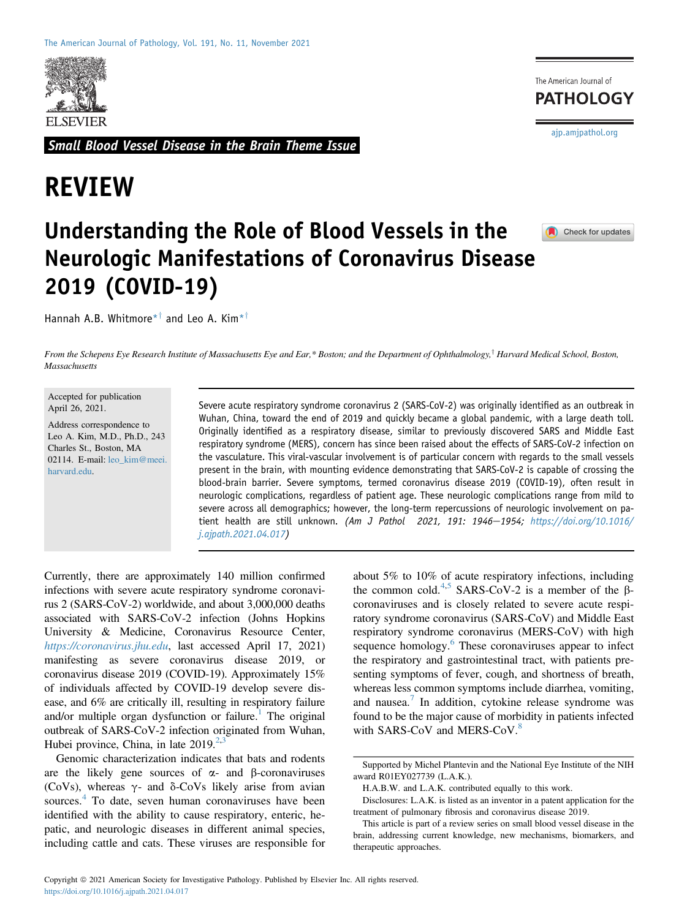

Small Blood Vessel Disease in the Brain Theme Issue

# REVIEW

The American Journal of **PATHOLOGY** [ajp.amjpathol.org](http://ajp.amjpathol.org)

# Understanding the Role of Blood Vessels in the Neurologic Manifestations of Coronavirus Disease 2019 (COVID-19)

Hannah A.B. Whitmore<sup>\*†</sup> and Leo A. Kim<sup>\*†</sup>

Check for updates

From the Schepens Eye Research Institute of Massachusetts Eye and Ear,\* Boston; and the Department of Ophthalmology,<sup>†</sup> Harvard Medical School, Boston, Massachusetts

Accepted for publication April 26, 2021.

Address correspondence to Leo A. Kim, M.D., Ph.D., 243 Charles St., Boston, MA 02114. E-mail: [leo\\_kim@meei.](mailto:leo_kim@meei.harvard.edu) [harvard.edu](mailto:leo_kim@meei.harvard.edu).

Severe acute respiratory syndrome coronavirus 2 (SARS-CoV-2) was originally identified as an outbreak in Wuhan, China, toward the end of 2019 and quickly became a global pandemic, with a large death toll. Originally identified as a respiratory disease, similar to previously discovered SARS and Middle East respiratory syndrome (MERS), concern has since been raised about the effects of SARS-CoV-2 infection on the vasculature. This viral-vascular involvement is of particular concern with regards to the small vessels present in the brain, with mounting evidence demonstrating that SARS-CoV-2 is capable of crossing the blood-brain barrier. Severe symptoms, termed coronavirus disease 2019 (COVID-19), often result in neurologic complications, regardless of patient age. These neurologic complications range from mild to severe across all demographics; however, the long-term repercussions of neurologic involvement on patient health are still unknown. (Am J Pathol 2021, 191: 1946-1954; [https://doi.org/10.1016/](https://doi.org/10.1016/j.ajpath.2021.04.017) [j.ajpath.2021.04.017](https://doi.org/10.1016/j.ajpath.2021.04.017))

Currently, there are approximately 140 million confirmed infections with severe acute respiratory syndrome coronavirus 2 (SARS-CoV-2) worldwide, and about 3,000,000 deaths associated with SARS-CoV-2 infection (Johns Hopkins University & Medicine, Coronavirus Resource Center, <https://coronavirus.jhu.edu>, last accessed April 17, 2021) manifesting as severe coronavirus disease 2019, or coronavirus disease 2019 (COVID-19). Approximately 15% of individuals affected by COVID-19 develop severe disease, and 6% are critically ill, resulting in respiratory failure and/or multiple organ dysfunction or failure.<sup>[1](#page-6-0)</sup> The original outbreak of SARS-CoV-2 infection originated from Wuhan, Hubei province, China, in late  $2019^{2,3}$  $2019^{2,3}$  $2019^{2,3}$  $2019^{2,3}$ 

Genomic characterization indicates that bats and rodents are the likely gene sources of  $\alpha$ - and  $\beta$ -coronaviruses (CoVs), whereas  $\gamma$ - and  $\delta$ -CoVs likely arise from avian sources.<sup>[4](#page-6-3)</sup> To date, seven human coronaviruses have been identified with the ability to cause respiratory, enteric, hepatic, and neurologic diseases in different animal species, including cattle and cats. These viruses are responsible for about 5% to 10% of acute respiratory infections, including the common cold.<sup>[4,](#page-6-3)[5](#page-6-4)</sup> SARS-CoV-2 is a member of the  $\beta$ coronaviruses and is closely related to severe acute respiratory syndrome coronavirus (SARS-CoV) and Middle East respiratory syndrome coronavirus (MERS-CoV) with high sequence homology.<sup>[6](#page-6-5)</sup> These coronaviruses appear to infect the respiratory and gastrointestinal tract, with patients presenting symptoms of fever, cough, and shortness of breath, whereas less common symptoms include diarrhea, vomiting, and nausea.<sup>[7](#page-6-6)</sup> In addition, cytokine release syndrome was found to be the major cause of morbidity in patients infected with SARS-CoV and MERS-CoV.<sup>[8](#page-6-7)</sup>

Supported by Michel Plantevin and the National Eye Institute of the NIH award R01EY027739 (L.A.K.).

H.A.B.W. and L.A.K. contributed equally to this work.

Disclosures: L.A.K. is listed as an inventor in a patent application for the treatment of pulmonary fibrosis and coronavirus disease 2019.

This article is part of a review series on small blood vessel disease in the brain, addressing current knowledge, new mechanisms, biomarkers, and therapeutic approaches.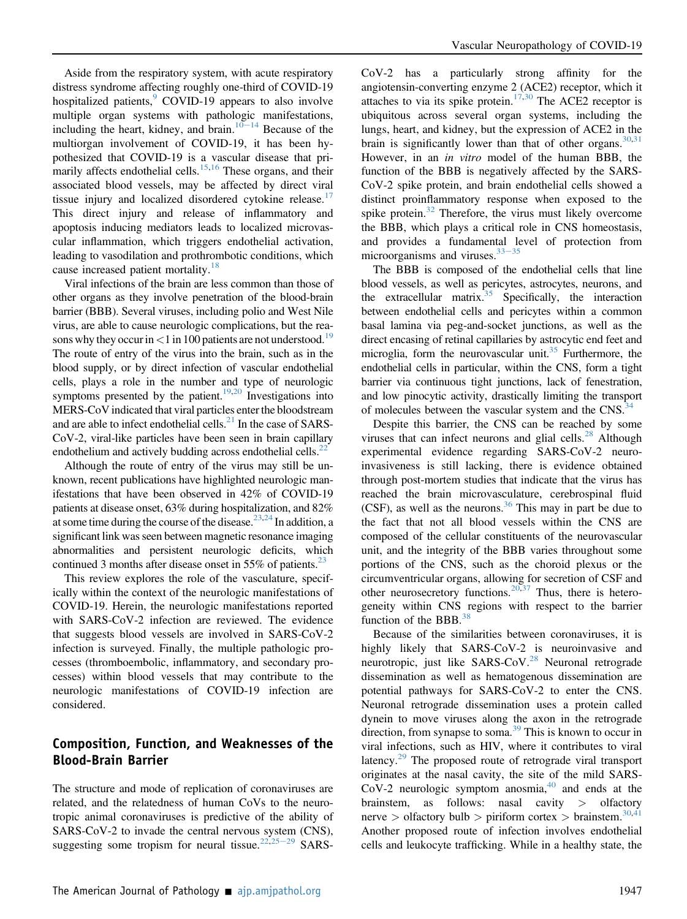Aside from the respiratory system, with acute respiratory distress syndrome affecting roughly one-third of COVID-19 hospitalized patients, COVID-1[9](#page-6-8) appears to also involve multiple organ systems with pathologic manifestations, including the heart, kidney, and brain.<sup>[10](#page-6-9)–[14](#page-6-9)</sup> Because of the multiorgan involvement of COVID-19, it has been hypothesized that COVID-19 is a vascular disease that pri-marily affects endothelial cells.<sup>[15,](#page-6-10)[16](#page-6-11)</sup> These organs, and their associated blood vessels, may be affected by direct viral tissue injury and localized disordered cytokine release.<sup>[17](#page-6-12)</sup> This direct injury and release of inflammatory and apoptosis inducing mediators leads to localized microvascular inflammation, which triggers endothelial activation, leading to vasodilation and prothrombotic conditions, which cause increased patient mortality.<sup>[18](#page-6-13)</sup>

Viral infections of the brain are less common than those of other organs as they involve penetration of the blood-brain barrier (BBB). Several viruses, including polio and West Nile virus, are able to cause neurologic complications, but the reasons why they occur in  $\lt 1$  in 100 patients are not understood.<sup>[19](#page-6-14)</sup> The route of entry of the virus into the brain, such as in the blood supply, or by direct infection of vascular endothelial cells, plays a role in the number and type of neurologic symptoms presented by the patient.<sup>[19,](#page-6-14)[20](#page-6-15)</sup> Investigations into MERS-CoV indicated that viral particles enter the bloodstream and are able to infect endothelial cells. $^{21}$  $^{21}$  $^{21}$  In the case of SARS-CoV-2, viral-like particles have been seen in brain capillary endothelium and actively budding across endothelial cells. $^{22}$  $^{22}$  $^{22}$ 

Although the route of entry of the virus may still be unknown, recent publications have highlighted neurologic manifestations that have been observed in 42% of COVID-19 patients at disease onset, 63% during hospitalization, and 82% at some time during the course of the disease.  $2^{3,24}$  $2^{3,24}$  $2^{3,24}$  In addition, a significant link was seen between magnetic resonance imaging abnormalities and persistent neurologic deficits, which continued 3 months after disease onset in 55% of patients. $^{23}$  $^{23}$  $^{23}$ 

This review explores the role of the vasculature, specifically within the context of the neurologic manifestations of COVID-19. Herein, the neurologic manifestations reported with SARS-CoV-2 infection are reviewed. The evidence that suggests blood vessels are involved in SARS-CoV-2 infection is surveyed. Finally, the multiple pathologic processes (thromboembolic, inflammatory, and secondary processes) within blood vessels that may contribute to the neurologic manifestations of COVID-19 infection are considered.

## Composition, Function, and Weaknesses of the Blood-Brain Barrier

The structure and mode of replication of coronaviruses are related, and the relatedness of human CoVs to the neurotropic animal coronaviruses is predictive of the ability of SARS-CoV-2 to invade the central nervous system (CNS), suggesting some tropism for neural tissue.<sup>[22,](#page-6-17)[25](#page-6-20)–[29](#page-6-20)</sup> SARS-

CoV-2 has a particularly strong affinity for the angiotensin-converting enzyme 2 (ACE2) receptor, which it attaches to via its spike protein.<sup>[17,](#page-6-12)[30](#page-6-21)</sup> The ACE2 receptor is ubiquitous across several organ systems, including the lungs, heart, and kidney, but the expression of ACE2 in the brain is significantly lower than that of other organs.  $30,31$  $30,31$ However, in an in vitro model of the human BBB, the function of the BBB is negatively affected by the SARS-CoV-2 spike protein, and brain endothelial cells showed a distinct proinflammatory response when exposed to the spike protein. $32$  Therefore, the virus must likely overcome the BBB, which plays a critical role in CNS homeostasis, and provides a fundamental level of protection from microorganisms and viruses. $33-35$  $33-35$  $33-35$ 

The BBB is composed of the endothelial cells that line blood vessels, as well as pericytes, astrocytes, neurons, and the extracellular matrix.<sup>35</sup> Specifically, the interaction between endothelial cells and pericytes within a common basal lamina via peg-and-socket junctions, as well as the direct encasing of retinal capillaries by astrocytic end feet and microglia, form the neurovascular unit.<sup>[35](#page-6-25)</sup> Furthermore, the endothelial cells in particular, within the CNS, form a tight barrier via continuous tight junctions, lack of fenestration, and low pinocytic activity, drastically limiting the transport of molecules between the vascular system and the CNS.<sup>34</sup>

Despite this barrier, the CNS can be reached by some viruses that can infect neurons and glial cells. $^{28}$  $^{28}$  $^{28}$  Although experimental evidence regarding SARS-CoV-2 neuroinvasiveness is still lacking, there is evidence obtained through post-mortem studies that indicate that the virus has reached the brain microvasculature, cerebrospinal fluid (CSF), as well as the neurons. $36$  This may in part be due to the fact that not all blood vessels within the CNS are composed of the cellular constituents of the neurovascular unit, and the integrity of the BBB varies throughout some portions of the CNS, such as the choroid plexus or the circumventricular organs, allowing for secretion of CSF and other neurosecretory functions. <sup>[20,](#page-6-15)[37](#page-7-0)</sup> Thus, there is heterogeneity within CNS regions with respect to the barrier function of the BBB. $^{38}$  $^{38}$  $^{38}$ 

Because of the similarities between coronaviruses, it is highly likely that SARS-CoV-2 is neuroinvasive and neurotropic, just like SARS-CoV.<sup>[28](#page-6-27)</sup> Neuronal retrograde dissemination as well as hematogenous dissemination are potential pathways for SARS-CoV-2 to enter the CNS. Neuronal retrograde dissemination uses a protein called dynein to move viruses along the axon in the retrograde direction, from synapse to soma.<sup>[39](#page-7-2)</sup> This is known to occur in viral infections, such as HIV, where it contributes to viral latency.<sup>[29](#page-6-29)</sup> The proposed route of retrograde viral transport originates at the nasal cavity, the site of the mild SARS-CoV-2 neurologic symptom anosmia, $40$  and ends at the brainstem, as follows: nasal cavity > olfactory nerve > olfactory bulb > piriform cortex > brainstem.<sup>[30](#page-6-21)[,41](#page-7-4)</sup> Another proposed route of infection involves endothelial cells and leukocyte trafficking. While in a healthy state, the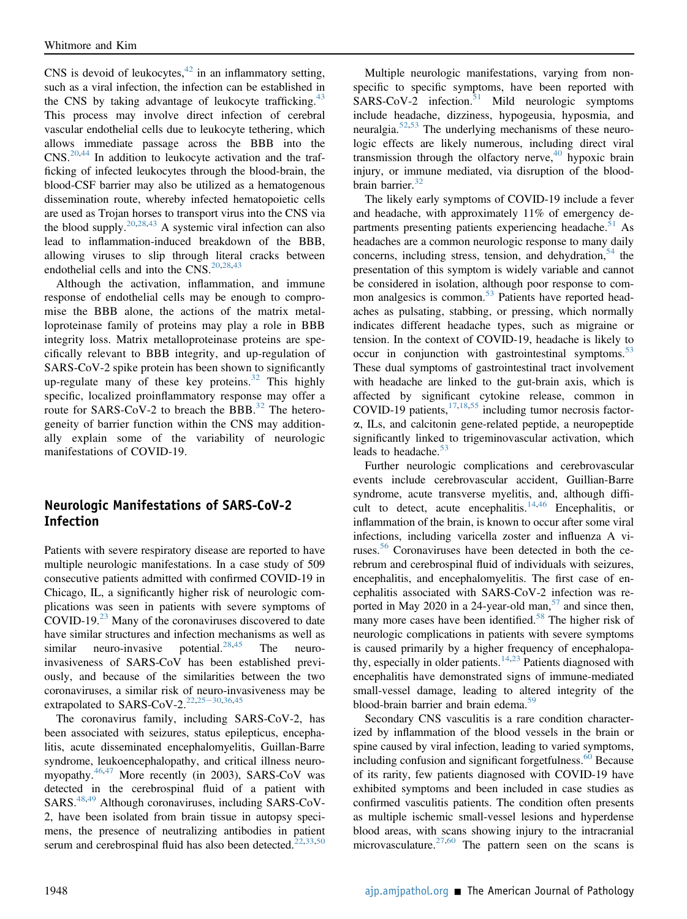CNS is devoid of leukocytes,  $42$  in an inflammatory setting, such as a viral infection, the infection can be established in the CNS by taking advantage of leukocyte trafficking.<sup>[43](#page-7-6)</sup> This process may involve direct infection of cerebral vascular endothelial cells due to leukocyte tethering, which allows immediate passage across the BBB into the  $CNS$ <sup>[20](#page-6-15)[,44](#page-7-7)</sup> In addition to leukocyte activation and the trafficking of infected leukocytes through the blood-brain, the blood-CSF barrier may also be utilized as a hematogenous dissemination route, whereby infected hematopoietic cells are used as Trojan horses to transport virus into the CNS via the blood supply.<sup>[20](#page-6-15)[,28](#page-6-27)[,43](#page-7-6)</sup> A systemic viral infection can also lead to inflammation-induced breakdown of the BBB, allowing viruses to slip through literal cracks between endothelial cells and into the  $CNS$ .<sup>[20](#page-6-15)[,28,](#page-6-27)[43](#page-7-6)</sup>

Although the activation, inflammation, and immune response of endothelial cells may be enough to compromise the BBB alone, the actions of the matrix metalloproteinase family of proteins may play a role in BBB integrity loss. Matrix metalloproteinase proteins are specifically relevant to BBB integrity, and up-regulation of SARS-CoV-2 spike protein has been shown to significantly up-regulate many of these key proteins. $32$  This highly specific, localized proinflammatory response may offer a route for SARS-CoV-2 to breach the BBB.<sup>[32](#page-6-23)</sup> The heterogeneity of barrier function within the CNS may additionally explain some of the variability of neurologic manifestations of COVID-19.

## Neurologic Manifestations of SARS-CoV-2 Infection

Patients with severe respiratory disease are reported to have multiple neurologic manifestations. In a case study of 509 consecutive patients admitted with confirmed COVID-19 in Chicago, IL, a significantly higher risk of neurologic complications was seen in patients with severe symptoms of COVID-19.[23](#page-6-18) Many of the coronaviruses discovered to date have similar structures and infection mechanisms as well as similar neuro-invasive potential. $28,45$  $28,45$  The neuroinvasiveness of SARS-CoV has been established previously, and because of the similarities between the two coronaviruses, a similar risk of neuro-invasiveness may be extrapolated to SARS-CoV-2.<sup>[22,](#page-6-17)[25](#page-6-20)-[30](#page-6-20)[,36,](#page-6-28)[45](#page-7-8)</sup>

The coronavirus family, including SARS-CoV-2, has been associated with seizures, status epilepticus, encephalitis, acute disseminated encephalomyelitis, Guillan-Barre syndrome, leukoencephalopathy, and critical illness neuromyopathy.[46,](#page-7-9)[47](#page-7-10) More recently (in 2003), SARS-CoV was detected in the cerebrospinal fluid of a patient with SARS.[48,](#page-7-11)[49](#page-7-12) Although coronaviruses, including SARS-CoV-2, have been isolated from brain tissue in autopsy specimens, the presence of neutralizing antibodies in patient serum and cerebrospinal fluid has also been detected.<sup>[22](#page-6-17)[,33](#page-6-24)[,50](#page-7-13)</sup>

Multiple neurologic manifestations, varying from nonspecific to specific symptoms, have been reported with  $SARS-CoV-2$  infection.<sup>[51](#page-7-14)</sup> Mild neurologic symptoms include headache, dizziness, hypogeusia, hyposmia, and neuralgia.[52,](#page-7-15)[53](#page-7-16) The underlying mechanisms of these neurologic effects are likely numerous, including direct viral transmission through the olfactory nerve, $40$  hypoxic brain injury, or immune mediated, via disruption of the blood-brain barrier.<sup>[32](#page-6-23)</sup>

The likely early symptoms of COVID-19 include a fever and headache, with approximately 11% of emergency departments presenting patients experiencing headache. $51$  As headaches are a common neurologic response to many daily concerns, including stress, tension, and dehydration,  $54$  the presentation of this symptom is widely variable and cannot be considered in isolation, although poor response to com-mon analgesics is common.<sup>[53](#page-7-16)</sup> Patients have reported headaches as pulsating, stabbing, or pressing, which normally indicates different headache types, such as migraine or tension. In the context of COVID-19, headache is likely to occur in conjunction with gastrointestinal symptoms.<sup>[53](#page-7-16)</sup> These dual symptoms of gastrointestinal tract involvement with headache are linked to the gut-brain axis, which is affected by significant cytokine release, common in COVID-19 patients, $17,18,55$  $17,18,55$  $17,18,55$  including tumor necrosis factora, ILs, and calcitonin gene-related peptide, a neuropeptide significantly linked to trigeminovascular activation, which leads to headache.<sup>[53](#page-7-16)</sup>

Further neurologic complications and cerebrovascular events include cerebrovascular accident, Guillian-Barre syndrome, acute transverse myelitis, and, although diffi-cult to detect, acute encephalitis.<sup>[14](#page-6-30)[,46](#page-7-9)</sup> Encephalitis, or inflammation of the brain, is known to occur after some viral infections, including varicella zoster and influenza A viruses.[56](#page-7-19) Coronaviruses have been detected in both the cerebrum and cerebrospinal fluid of individuals with seizures, encephalitis, and encephalomyelitis. The first case of encephalitis associated with SARS-CoV-2 infection was reported in May 2020 in a 24-year-old man, $57$  and since then, many more cases have been identified.<sup>[58](#page-7-21)</sup> The higher risk of neurologic complications in patients with severe symptoms is caused primarily by a higher frequency of encephalopa-thy, especially in older patients.<sup>[14](#page-6-30),[23](#page-6-18)</sup> Patients diagnosed with encephalitis have demonstrated signs of immune-mediated small-vessel damage, leading to altered integrity of the blood-brain barrier and brain edema.<sup>[59](#page-7-22)</sup>

Secondary CNS vasculitis is a rare condition characterized by inflammation of the blood vessels in the brain or spine caused by viral infection, leading to varied symptoms, including confusion and significant forgetfulness.<sup>[60](#page-7-23)</sup> Because of its rarity, few patients diagnosed with COVID-19 have exhibited symptoms and been included in case studies as confirmed vasculitis patients. The condition often presents as multiple ischemic small-vessel lesions and hyperdense blood areas, with scans showing injury to the intracranial microvasculature.<sup>[27,](#page-6-31)[60](#page-7-23)</sup> The pattern seen on the scans is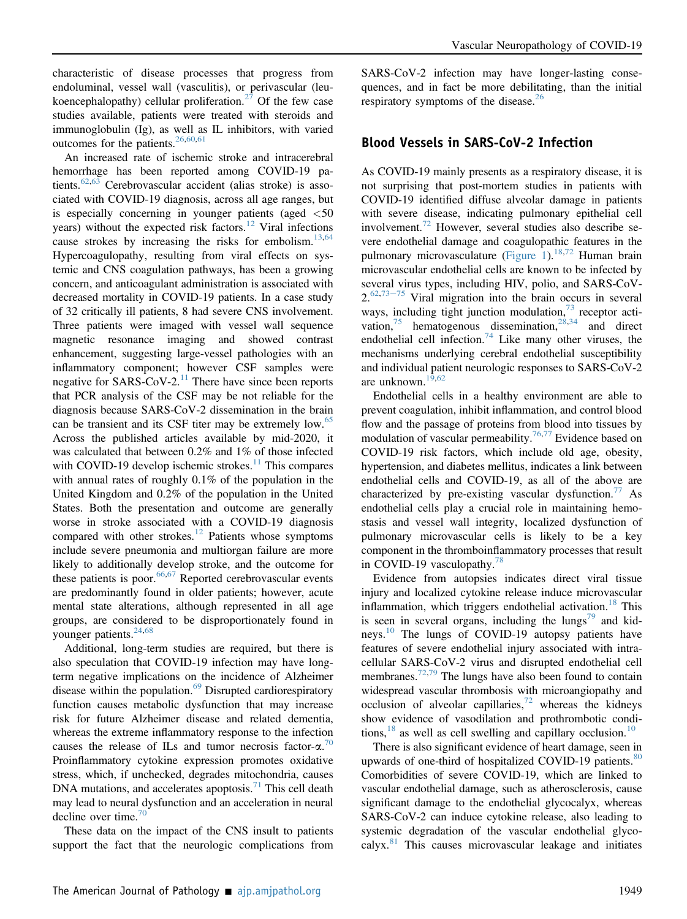characteristic of disease processes that progress from endoluminal, vessel wall (vasculitis), or perivascular (leu-koencephalopathy) cellular proliferation.<sup>[27](#page-6-31)</sup> Of the few case studies available, patients were treated with steroids and immunoglobulin (Ig), as well as IL inhibitors, with varied outcomes for the patients. $26,60,61$  $26,60,61$  $26,60,61$ 

An increased rate of ischemic stroke and intracerebral hemorrhage has been reported among COVID-19 pa-tients.<sup>[62](#page-7-25)[,63](#page-7-26)</sup> Cerebrovascular accident (alias stroke) is associated with COVID-19 diagnosis, across all age ranges, but is especially concerning in younger patients (aged  $\langle 50 \rangle$ years) without the expected risk factors.<sup>[12](#page-6-33)</sup> Viral infections cause strokes by increasing the risks for embolism.<sup>13,[64](#page-7-27)</sup> Hypercoagulopathy, resulting from viral effects on systemic and CNS coagulation pathways, has been a growing concern, and anticoagulant administration is associated with decreased mortality in COVID-19 patients. In a case study of 32 critically ill patients, 8 had severe CNS involvement. Three patients were imaged with vessel wall sequence magnetic resonance imaging and showed contrast enhancement, suggesting large-vessel pathologies with an inflammatory component; however CSF samples were negative for SARS-CoV-2.<sup>[11](#page-6-35)</sup> There have since been reports that PCR analysis of the CSF may be not reliable for the diagnosis because SARS-CoV-2 dissemination in the brain can be transient and its CSF titer may be extremely low.<sup>[65](#page-7-28)</sup> Across the published articles available by mid-2020, it was calculated that between 0.2% and 1% of those infected with COVID-19 develop ischemic strokes. $11$  This compares with annual rates of roughly 0.1% of the population in the United Kingdom and 0.2% of the population in the United States. Both the presentation and outcome are generally worse in stroke associated with a COVID-19 diagnosis compared with other strokes.<sup>[12](#page-6-33)</sup> Patients whose symptoms include severe pneumonia and multiorgan failure are more likely to additionally develop stroke, and the outcome for these patients is poor.  $66,67$  $66,67$  Reported cerebrovascular events are predominantly found in older patients; however, acute mental state alterations, although represented in all age groups, are considered to be disproportionately found in younger patients. $24,68$  $24,68$ 

Additional, long-term studies are required, but there is also speculation that COVID-19 infection may have longterm negative implications on the incidence of Alzheimer disease within the population.<sup>[69](#page-7-32)</sup> Disrupted cardiorespiratory function causes metabolic dysfunction that may increase risk for future Alzheimer disease and related dementia, whereas the extreme inflammatory response to the infection causes the release of ILs and tumor necrosis factor- $\alpha$ <sup>[70](#page-7-33)</sup> Proinflammatory cytokine expression promotes oxidative stress, which, if unchecked, degrades mitochondria, causes DNA mutations, and accelerates apoptosis. $^{71}$  $^{71}$  $^{71}$  This cell death may lead to neural dysfunction and an acceleration in neural decline over time. $70$ 

These data on the impact of the CNS insult to patients support the fact that the neurologic complications from

SARS-CoV-2 infection may have longer-lasting consequences, and in fact be more debilitating, than the initial respiratory symptoms of the disease. $26$ 

### Blood Vessels in SARS-CoV-2 Infection

As COVID-19 mainly presents as a respiratory disease, it is not surprising that post-mortem studies in patients with COVID-19 identified diffuse alveolar damage in patients with severe disease, indicating pulmonary epithelial cell involvement.<sup>[72](#page-7-35)</sup> However, several studies also describe severe endothelial damage and coagulopathic features in the pulmonary microvasculature ([Figure 1](#page-4-0)).<sup>[18](#page-6-13)[,72](#page-7-35)</sup> Human brain microvascular endothelial cells are known to be infected by several virus types, including HIV, polio, and SARS-CoV- $2.^{62,73-75}$  $2.^{62,73-75}$  $2.^{62,73-75}$  $2.^{62,73-75}$  $2.^{62,73-75}$  $2.^{62,73-75}$  Viral migration into the brain occurs in several ways, including tight junction modulation, $73$  receptor activation,  $75$  hematogenous dissemination,  $28,34$  $28,34$  and direct endothelial cell infection.<sup>[74](#page-8-1)</sup> Like many other viruses, the mechanisms underlying cerebral endothelial susceptibility and individual patient neurologic responses to SARS-CoV-2 are unknown.<sup>[19](#page-6-14)[,62](#page-7-25)</sup>

Endothelial cells in a healthy environment are able to prevent coagulation, inhibit inflammation, and control blood flow and the passage of proteins from blood into tissues by modulation of vascular permeability.<sup>[76](#page-8-2),[77](#page-8-3)</sup> Evidence based on COVID-19 risk factors, which include old age, obesity, hypertension, and diabetes mellitus, indicates a link between endothelial cells and COVID-19, as all of the above are characterized by pre-existing vascular dysfunction.<sup>[77](#page-8-3)</sup> As endothelial cells play a crucial role in maintaining hemostasis and vessel wall integrity, localized dysfunction of pulmonary microvascular cells is likely to be a key component in the thromboinflammatory processes that result in COVID-19 vasculopathy.<sup>[78](#page-8-4)</sup>

Evidence from autopsies indicates direct viral tissue injury and localized cytokine release induce microvascular inflammation, which triggers endothelial activation.<sup>[18](#page-6-13)</sup> This is seen in several organs, including the lungs<sup>[79](#page-8-5)</sup> and kid-neys.<sup>[10](#page-6-9)</sup> The lungs of COVID-19 autopsy patients have features of severe endothelial injury associated with intracellular SARS-CoV-2 virus and disrupted endothelial cell membranes.<sup>[72](#page-7-35)[,79](#page-8-5)</sup> The lungs have also been found to contain widespread vascular thrombosis with microangiopathy and occlusion of alveolar capillaries, $72$  whereas the kidneys show evidence of vasodilation and prothrombotic conditions,  $18$  as well as cell swelling and capillary occlusion.<sup>[10](#page-6-9)</sup>

There is also significant evidence of heart damage, seen in upwards of one-third of hospitalized COVID-19 patients.<sup>[80](#page-8-6)</sup> Comorbidities of severe COVID-19, which are linked to vascular endothelial damage, such as atherosclerosis, cause significant damage to the endothelial glycocalyx, whereas SARS-CoV-2 can induce cytokine release, also leading to systemic degradation of the vascular endothelial glycocalyx. $81$  This causes microvascular leakage and initiates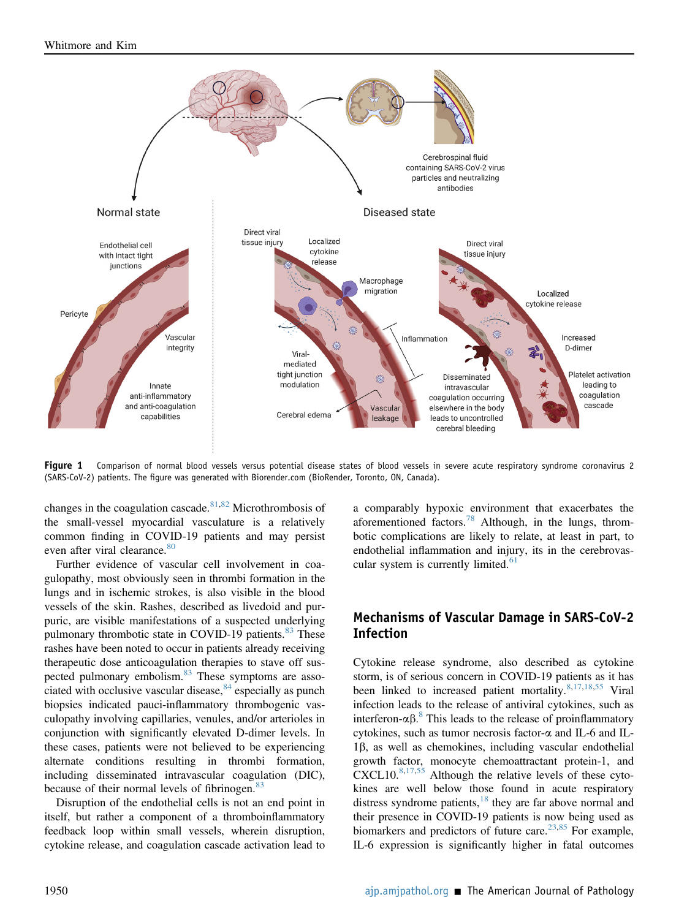<span id="page-4-0"></span>

Fiqure 1 Comparison of normal blood vessels versus potential disease states of blood vessels in severe acute respiratory syndrome coronavirus 2 (SARS-CoV-2) patients. The figure was generated with Biorender.com (BioRender, Toronto, ON, Canada).

changes in the coagulation cascade.<sup>[81](#page-8-7)[,82](#page-8-8)</sup> Microthrombosis of the small-vessel myocardial vasculature is a relatively common finding in COVID-19 patients and may persist even after viral clearance.<sup>[80](#page-8-6)</sup>

Further evidence of vascular cell involvement in coagulopathy, most obviously seen in thrombi formation in the lungs and in ischemic strokes, is also visible in the blood vessels of the skin. Rashes, described as livedoid and purpuric, are visible manifestations of a suspected underlying pulmonary thrombotic state in COVID-19 patients.<sup>[83](#page-8-9)</sup> These rashes have been noted to occur in patients already receiving therapeutic dose anticoagulation therapies to stave off suspected pulmonary embolism.<sup>83</sup> These symptoms are associated with occlusive vascular disease, $84$  especially as punch biopsies indicated pauci-inflammatory thrombogenic vasculopathy involving capillaries, venules, and/or arterioles in conjunction with significantly elevated D-dimer levels. In these cases, patients were not believed to be experiencing alternate conditions resulting in thrombi formation, including disseminated intravascular coagulation (DIC), because of their normal levels of fibrinogen.<sup>[83](#page-8-9)</sup>

Disruption of the endothelial cells is not an end point in itself, but rather a component of a thromboinflammatory feedback loop within small vessels, wherein disruption, cytokine release, and coagulation cascade activation lead to

a comparably hypoxic environment that exacerbates the aforementioned factors.[78](#page-8-4) Although, in the lungs, thrombotic complications are likely to relate, at least in part, to endothelial inflammation and injury, its in the cerebrovascular system is currently limited. $61$ 

## Mechanisms of Vascular Damage in SARS-CoV-2 Infection

Cytokine release syndrome, also described as cytokine storm, is of serious concern in COVID-19 patients as it has been linked to increased patient mortality.<sup>[8](#page-6-7)[,17](#page-6-12)[,18,](#page-6-13)[55](#page-7-18)</sup> Viral infection leads to the release of antiviral cytokines, such as interferon- $\alpha\beta$ .<sup>[8](#page-6-7)</sup> This leads to the release of proinflammatory cytokines, such as tumor necrosis factor- $\alpha$  and IL-6 and IL-1b, as well as chemokines, including vascular endothelial growth factor, monocyte chemoattractant protein-1, and CXCL10.[8,](#page-6-7)[17,](#page-6-12)[55](#page-7-18) Although the relative levels of these cytokines are well below those found in acute respiratory distress syndrome patients, $18$  they are far above normal and their presence in COVID-19 patients is now being used as biomarkers and predictors of future care.<sup>[23](#page-6-18),[85](#page-8-11)</sup> For example, IL-6 expression is significantly higher in fatal outcomes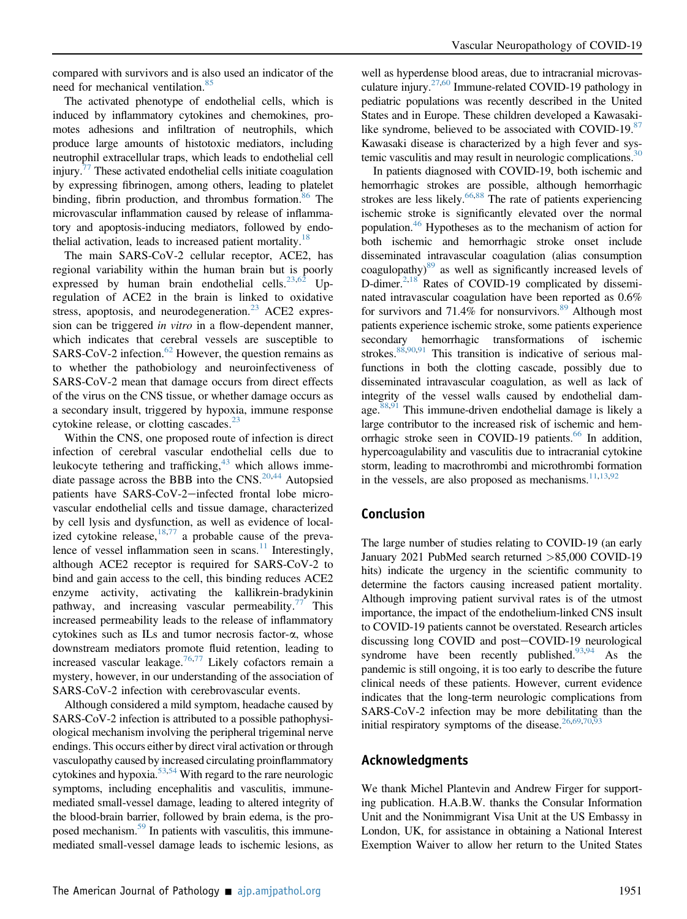compared with survivors and is also used an indicator of the need for mechanical ventilation.<sup>[85](#page-8-11)</sup>

The activated phenotype of endothelial cells, which is induced by inflammatory cytokines and chemokines, promotes adhesions and infiltration of neutrophils, which produce large amounts of histotoxic mediators, including neutrophil extracellular traps, which leads to endothelial cell injury. $17$  These activated endothelial cells initiate coagulation by expressing fibrinogen, among others, leading to platelet binding, fibrin production, and thrombus formation.<sup>[86](#page-8-12)</sup> The microvascular inflammation caused by release of inflammatory and apoptosis-inducing mediators, followed by endo-thelial activation, leads to increased patient mortality.<sup>[18](#page-6-13)</sup>

The main SARS-CoV-2 cellular receptor, ACE2, has regional variability within the human brain but is poorly expressed by human brain endothelial cells.<sup>[23](#page-6-18)[,62](#page-7-25)</sup> Upregulation of ACE2 in the brain is linked to oxidative stress, apoptosis, and neurodegeneration.<sup>[23](#page-6-18)</sup> ACE2 expression can be triggered in vitro in a flow-dependent manner, which indicates that cerebral vessels are susceptible to SARS-CoV-2 infection.<sup>[62](#page-7-25)</sup> However, the question remains as to whether the pathobiology and neuroinfectiveness of SARS-CoV-2 mean that damage occurs from direct effects of the virus on the CNS tissue, or whether damage occurs as a secondary insult, triggered by hypoxia, immune response cytokine release, or clotting cascades. $23$ 

Within the CNS, one proposed route of infection is direct infection of cerebral vascular endothelial cells due to leukocyte tethering and trafficking,<sup>[43](#page-7-6)</sup> which allows imme-diate passage across the BBB into the CNS.<sup>[20](#page-6-15)[,44](#page-7-7)</sup> Autopsied patients have SARS-CoV-2-infected frontal lobe microvascular endothelial cells and tissue damage, characterized by cell lysis and dysfunction, as well as evidence of localized cytokine release,  $18,77$  $18,77$  a probable cause of the prevalence of vessel inflammation seen in scans. $11$  Interestingly, although ACE2 receptor is required for SARS-CoV-2 to bind and gain access to the cell, this binding reduces ACE2 enzyme activity, activating the kallikrein-bradykinin pathway, and increasing vascular permeability.<sup>[77](#page-8-3)</sup> This increased permeability leads to the release of inflammatory cytokines such as ILs and tumor necrosis factor-a, whose downstream mediators promote fluid retention, leading to increased vascular leakage.<sup>[76,](#page-8-2)[77](#page-8-3)</sup> Likely cofactors remain a mystery, however, in our understanding of the association of SARS-CoV-2 infection with cerebrovascular events.

Although considered a mild symptom, headache caused by SARS-CoV-2 infection is attributed to a possible pathophysiological mechanism involving the peripheral trigeminal nerve endings. This occurs either by direct viral activation or through vasculopathy caused by increased circulating proinflammatory cytokines and hypoxia. $53,54$  $53,54$  With regard to the rare neurologic symptoms, including encephalitis and vasculitis, immunemediated small-vessel damage, leading to altered integrity of the blood-brain barrier, followed by brain edema, is the proposed mechanism.<sup>59</sup> In patients with vasculitis, this immunemediated small-vessel damage leads to ischemic lesions, as

well as hyperdense blood areas, due to intracranial microvasculature injury. $27,60$  $27,60$  Immune-related COVID-19 pathology in pediatric populations was recently described in the United States and in Europe. These children developed a Kawasaki-like syndrome, believed to be associated with COVID-19.[87](#page-8-13) Kawasaki disease is characterized by a high fever and systemic vasculitis and may result in neurologic complications. $30$ 

In patients diagnosed with COVID-19, both ischemic and hemorrhagic strokes are possible, although hemorrhagic strokes are less likely. $66,88$  $66,88$  The rate of patients experiencing ischemic stroke is significantly elevated over the normal population.<sup>[46](#page-7-9)</sup> Hypotheses as to the mechanism of action for both ischemic and hemorrhagic stroke onset include disseminated intravascular coagulation (alias consumption coagulopathy)<sup>89</sup> as well as significantly increased levels of D-dimer.<sup>2[,18](#page-6-13)</sup> Rates of COVID-19 complicated by disseminated intravascular coagulation have been reported as 0.6% for survivors and 71.4% for nonsurvivors.<sup>[89](#page-8-15)</sup> Although most patients experience ischemic stroke, some patients experience secondary hemorrhagic transformations of ischemic strokes. $88,90,91$  $88,90,91$  $88,90,91$  This transition is indicative of serious malfunctions in both the clotting cascade, possibly due to disseminated intravascular coagulation, as well as lack of integrity of the vessel walls caused by endothelial damage.  $88,91$  $88,91$  $88,91$  This immune-driven endothelial damage is likely a large contributor to the increased risk of ischemic and hemorrhagic stroke seen in COVID-19 patients. $66$  In addition, hypercoagulability and vasculitis due to intracranial cytokine storm, leading to macrothrombi and microthrombi formation in the vessels, are also proposed as mechanisms. $11,13,92$  $11,13,92$  $11,13,92$ 

### Conclusion

The large number of studies relating to COVID-19 (an early January 2021 PubMed search returned >85,000 COVID-19 hits) indicate the urgency in the scientific community to determine the factors causing increased patient mortality. Although improving patient survival rates is of the utmost importance, the impact of the endothelium-linked CNS insult to COVID-19 patients cannot be overstated. Research articles discussing long COVID and post-COVID-19 neurological syndrome have been recently published. $93,94$  $93,94$  As the pandemic is still ongoing, it is too early to describe the future clinical needs of these patients. However, current evidence indicates that the long-term neurologic complications from SARS-CoV-2 infection may be more debilitating than the initial respiratory symptoms of the disease. $26,69,70,93$  $26,69,70,93$  $26,69,70,93$  $26,69,70,93$ 

#### Acknowledgments

We thank Michel Plantevin and Andrew Firger for supporting publication. H.A.B.W. thanks the Consular Information Unit and the Nonimmigrant Visa Unit at the US Embassy in London, UK, for assistance in obtaining a National Interest Exemption Waiver to allow her return to the United States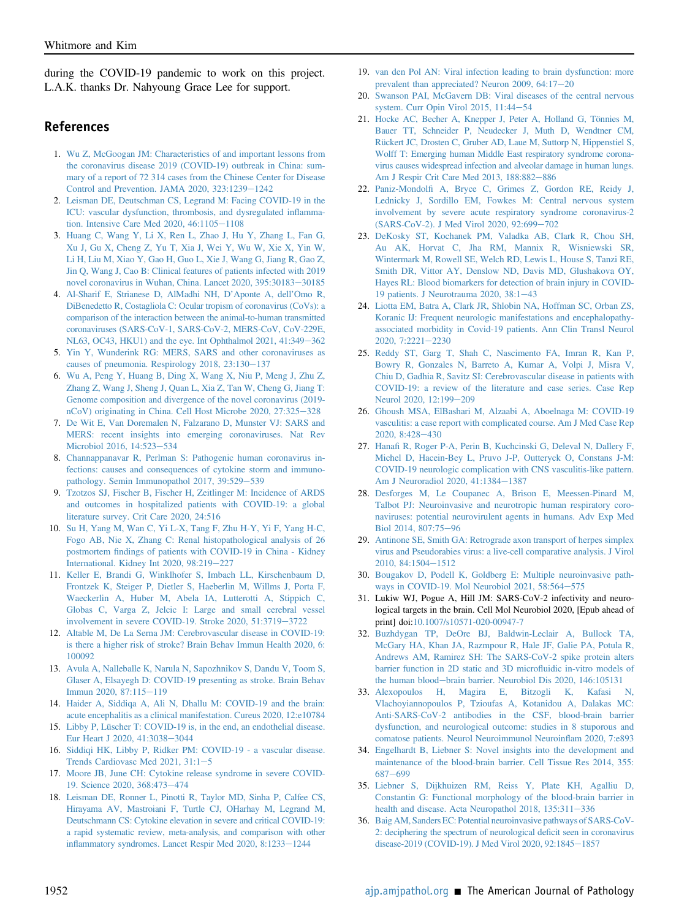during the COVID-19 pandemic to work on this project. L.A.K. thanks Dr. Nahyoung Grace Lee for support.

#### References

- <span id="page-6-0"></span>1. [Wu Z, McGoogan JM: Characteristics of and important lessons from](http://refhub.elsevier.com/S0002-9440(21)00260-1/sref1) [the coronavirus disease 2019 \(COVID-19\) outbreak in China: sum](http://refhub.elsevier.com/S0002-9440(21)00260-1/sref1)[mary of a report of 72 314 cases from the Chinese Center for Disease](http://refhub.elsevier.com/S0002-9440(21)00260-1/sref1) [Control and Prevention. JAMA 2020, 323:1239](http://refhub.elsevier.com/S0002-9440(21)00260-1/sref1)-[1242](http://refhub.elsevier.com/S0002-9440(21)00260-1/sref1)
- <span id="page-6-1"></span>2. [Leisman DE, Deutschman CS, Legrand M: Facing COVID-19 in the](http://refhub.elsevier.com/S0002-9440(21)00260-1/sref2) [ICU: vascular dysfunction, thrombosis, and dysregulated in](http://refhub.elsevier.com/S0002-9440(21)00260-1/sref2)flammation. Intensive Care Med 2020,  $46:1105-1108$  $46:1105-1108$
- <span id="page-6-2"></span>3. [Huang C, Wang Y, Li X, Ren L, Zhao J, Hu Y, Zhang L, Fan G,](http://refhub.elsevier.com/S0002-9440(21)00260-1/sref3) [Xu J, Gu X, Cheng Z, Yu T, Xia J, Wei Y, Wu W, Xie X, Yin W,](http://refhub.elsevier.com/S0002-9440(21)00260-1/sref3) [Li H, Liu M, Xiao Y, Gao H, Guo L, Xie J, Wang G, Jiang R, Gao Z,](http://refhub.elsevier.com/S0002-9440(21)00260-1/sref3) [Jin Q, Wang J, Cao B: Clinical features of patients infected with 2019](http://refhub.elsevier.com/S0002-9440(21)00260-1/sref3) [novel coronavirus in Wuhan, China. Lancet 2020, 395:30183](http://refhub.elsevier.com/S0002-9440(21)00260-1/sref3)-[30185](http://refhub.elsevier.com/S0002-9440(21)00260-1/sref3)
- <span id="page-6-3"></span>4. [Al-Sharif E, Strianese D, AlMadhi NH, D](http://refhub.elsevier.com/S0002-9440(21)00260-1/sref4)'Aponte A, dell'Omo R, [DiBenedetto R, Costagliola C: Ocular tropism of coronavirus \(CoVs\): a](http://refhub.elsevier.com/S0002-9440(21)00260-1/sref4) [comparison of the interaction between the animal-to-human transmitted](http://refhub.elsevier.com/S0002-9440(21)00260-1/sref4) [coronaviruses \(SARS-CoV-1, SARS-CoV-2, MERS-CoV, CoV-229E,](http://refhub.elsevier.com/S0002-9440(21)00260-1/sref4) [NL63, OC43, HKU1\) and the eye. Int Ophthalmol 2021, 41:349](http://refhub.elsevier.com/S0002-9440(21)00260-1/sref4)-[362](http://refhub.elsevier.com/S0002-9440(21)00260-1/sref4)
- <span id="page-6-4"></span>5. [Yin Y, Wunderink RG: MERS, SARS and other coronaviruses as](http://refhub.elsevier.com/S0002-9440(21)00260-1/sref5) causes of pneumonia. Respirology  $2018$ ,  $23:130-137$  $23:130-137$
- <span id="page-6-5"></span>6. [Wu A, Peng Y, Huang B, Ding X, Wang X, Niu P, Meng J, Zhu Z,](http://refhub.elsevier.com/S0002-9440(21)00260-1/sref6) [Zhang Z, Wang J, Sheng J, Quan L, Xia Z, Tan W, Cheng G, Jiang T:](http://refhub.elsevier.com/S0002-9440(21)00260-1/sref6) [Genome composition and divergence of the novel coronavirus \(2019](http://refhub.elsevier.com/S0002-9440(21)00260-1/sref6) [nCoV\) originating in China. Cell Host Microbe 2020, 27:325](http://refhub.elsevier.com/S0002-9440(21)00260-1/sref6)-[328](http://refhub.elsevier.com/S0002-9440(21)00260-1/sref6)
- <span id="page-6-6"></span>7. [De Wit E, Van Doremalen N, Falzarano D, Munster VJ: SARS and](http://refhub.elsevier.com/S0002-9440(21)00260-1/sref7) [MERS: recent insights into emerging coronaviruses. Nat Rev](http://refhub.elsevier.com/S0002-9440(21)00260-1/sref7) [Microbiol 2016, 14:523](http://refhub.elsevier.com/S0002-9440(21)00260-1/sref7)-[534](http://refhub.elsevier.com/S0002-9440(21)00260-1/sref7)
- <span id="page-6-7"></span>8. [Channappanavar R, Perlman S: Pathogenic human coronavirus in](http://refhub.elsevier.com/S0002-9440(21)00260-1/sref8)[fections: causes and consequences of cytokine storm and immuno](http://refhub.elsevier.com/S0002-9440(21)00260-1/sref8)[pathology. Semin Immunopathol 2017, 39:529](http://refhub.elsevier.com/S0002-9440(21)00260-1/sref8)-[539](http://refhub.elsevier.com/S0002-9440(21)00260-1/sref8)
- <span id="page-6-8"></span>9. [Tzotzos SJ, Fischer B, Fischer H, Zeitlinger M: Incidence of ARDS](http://refhub.elsevier.com/S0002-9440(21)00260-1/sref9) [and outcomes in hospitalized patients with COVID-19: a global](http://refhub.elsevier.com/S0002-9440(21)00260-1/sref9) [literature survey. Crit Care 2020, 24:516](http://refhub.elsevier.com/S0002-9440(21)00260-1/sref9)
- <span id="page-6-9"></span>10. [Su H, Yang M, Wan C, Yi L-X, Tang F, Zhu H-Y, Yi F, Yang H-C,](http://refhub.elsevier.com/S0002-9440(21)00260-1/sref10) [Fogo AB, Nie X, Zhang C: Renal histopathological analysis of 26](http://refhub.elsevier.com/S0002-9440(21)00260-1/sref10) postmortem fi[ndings of patients with COVID-19 in China - Kidney](http://refhub.elsevier.com/S0002-9440(21)00260-1/sref10) [International. Kidney Int 2020, 98:219](http://refhub.elsevier.com/S0002-9440(21)00260-1/sref10)-[227](http://refhub.elsevier.com/S0002-9440(21)00260-1/sref10)
- <span id="page-6-35"></span>11. [Keller E, Brandi G, Winklhofer S, Imbach LL, Kirschenbaum D,](http://refhub.elsevier.com/S0002-9440(21)00260-1/sref11) [Frontzek K, Steiger P, Dietler S, Haeberlin M, Willms J, Porta F,](http://refhub.elsevier.com/S0002-9440(21)00260-1/sref11) [Waeckerlin A, Huber M, Abela IA, Lutterotti A, Stippich C,](http://refhub.elsevier.com/S0002-9440(21)00260-1/sref11) [Globas C, Varga Z, Jelcic I: Large and small cerebral vessel](http://refhub.elsevier.com/S0002-9440(21)00260-1/sref11) [involvement in severe COVID-19. Stroke 2020, 51:3719](http://refhub.elsevier.com/S0002-9440(21)00260-1/sref11)-[3722](http://refhub.elsevier.com/S0002-9440(21)00260-1/sref11)
- <span id="page-6-33"></span>12. [Altable M, De La Serna JM: Cerebrovascular disease in COVID-19:](http://refhub.elsevier.com/S0002-9440(21)00260-1/sref12) [is there a higher risk of stroke? Brain Behav Immun Health 2020, 6:](http://refhub.elsevier.com/S0002-9440(21)00260-1/sref12) [100092](http://refhub.elsevier.com/S0002-9440(21)00260-1/sref12)
- <span id="page-6-34"></span>13. [Avula A, Nalleballe K, Narula N, Sapozhnikov S, Dandu V, Toom S,](http://refhub.elsevier.com/S0002-9440(21)00260-1/sref13) [Glaser A, Elsayegh D: COVID-19 presenting as stroke. Brain Behav](http://refhub.elsevier.com/S0002-9440(21)00260-1/sref13) [Immun 2020, 87:115](http://refhub.elsevier.com/S0002-9440(21)00260-1/sref13)-[119](http://refhub.elsevier.com/S0002-9440(21)00260-1/sref13)
- <span id="page-6-30"></span>14. [Haider A, Siddiqa A, Ali N, Dhallu M: COVID-19 and the brain:](http://refhub.elsevier.com/S0002-9440(21)00260-1/sref14) [acute encephalitis as a clinical manifestation. Cureus 2020, 12:e10784](http://refhub.elsevier.com/S0002-9440(21)00260-1/sref14)
- <span id="page-6-10"></span>15. [Libby P, Lüscher T: COVID-19 is, in the end, an endothelial disease.](http://refhub.elsevier.com/S0002-9440(21)00260-1/sref15) [Eur Heart J 2020, 41:3038](http://refhub.elsevier.com/S0002-9440(21)00260-1/sref15)-[3044](http://refhub.elsevier.com/S0002-9440(21)00260-1/sref15)
- <span id="page-6-11"></span>16. [Siddiqi HK, Libby P, Ridker PM: COVID-19 - a vascular disease.](http://refhub.elsevier.com/S0002-9440(21)00260-1/sref16) Trends Cardiovasc Med 2021,  $31:1-5$  $31:1-5$
- <span id="page-6-12"></span>17. [Moore JB, June CH: Cytokine release syndrome in severe COVID-](http://refhub.elsevier.com/S0002-9440(21)00260-1/sref17)[19. Science 2020, 368:473](http://refhub.elsevier.com/S0002-9440(21)00260-1/sref17)-[474](http://refhub.elsevier.com/S0002-9440(21)00260-1/sref17)
- <span id="page-6-13"></span>18. [Leisman DE, Ronner L, Pinotti R, Taylor MD, Sinha P, Calfee CS,](http://refhub.elsevier.com/S0002-9440(21)00260-1/sref18) [Hirayama AV, Mastroiani F, Turtle CJ, OHarhay M, Legrand M,](http://refhub.elsevier.com/S0002-9440(21)00260-1/sref18) [Deutschmann CS: Cytokine elevation in severe and critical COVID-19:](http://refhub.elsevier.com/S0002-9440(21)00260-1/sref18) [a rapid systematic review, meta-analysis, and comparison with other](http://refhub.elsevier.com/S0002-9440(21)00260-1/sref18) infl[ammatory syndromes. Lancet Respir Med 2020, 8:1233](http://refhub.elsevier.com/S0002-9440(21)00260-1/sref18)-[1244](http://refhub.elsevier.com/S0002-9440(21)00260-1/sref18)
- <span id="page-6-14"></span>19. [van den Pol AN: Viral infection leading to brain dysfunction: more](http://refhub.elsevier.com/S0002-9440(21)00260-1/sref19) prevalent than appreciated? Neuron [20](http://refhub.elsevier.com/S0002-9440(21)00260-1/sref19)09,  $64:17-20$
- <span id="page-6-15"></span>20. [Swanson PAI, McGavern DB: Viral diseases of the central nervous](http://refhub.elsevier.com/S0002-9440(21)00260-1/sref20) [system. Curr Opin Virol 2015, 11:44](http://refhub.elsevier.com/S0002-9440(21)00260-1/sref20)-[54](http://refhub.elsevier.com/S0002-9440(21)00260-1/sref20)
- <span id="page-6-16"></span>21. [Hocke AC, Becher A, Knepper J, Peter A, Holland G, Tönnies M,](http://refhub.elsevier.com/S0002-9440(21)00260-1/sref21) [Bauer TT, Schneider P, Neudecker J, Muth D, Wendtner CM,](http://refhub.elsevier.com/S0002-9440(21)00260-1/sref21) [Rückert JC, Drosten C, Gruber AD, Laue M, Suttorp N, Hippenstiel S,](http://refhub.elsevier.com/S0002-9440(21)00260-1/sref21) [Wolff T: Emerging human Middle East respiratory syndrome corona](http://refhub.elsevier.com/S0002-9440(21)00260-1/sref21)[virus causes widespread infection and alveolar damage in human lungs.](http://refhub.elsevier.com/S0002-9440(21)00260-1/sref21) [Am J Respir Crit Care Med 2013, 188:882](http://refhub.elsevier.com/S0002-9440(21)00260-1/sref21)-[886](http://refhub.elsevier.com/S0002-9440(21)00260-1/sref21)
- <span id="page-6-17"></span>22. Paniz-Mondolfi [A, Bryce C, Grimes Z, Gordon RE, Reidy J,](http://refhub.elsevier.com/S0002-9440(21)00260-1/sref22) [Lednicky J, Sordillo EM, Fowkes M: Central nervous system](http://refhub.elsevier.com/S0002-9440(21)00260-1/sref22) [involvement by severe acute respiratory syndrome coronavirus-2](http://refhub.elsevier.com/S0002-9440(21)00260-1/sref22) [\(SARS-CoV-2\). J Med Virol 2020, 92:699](http://refhub.elsevier.com/S0002-9440(21)00260-1/sref22)-[702](http://refhub.elsevier.com/S0002-9440(21)00260-1/sref22)
- <span id="page-6-18"></span>23. [DeKosky ST, Kochanek PM, Valadka AB, Clark R, Chou SH,](http://refhub.elsevier.com/S0002-9440(21)00260-1/sref23) [Au AK, Horvat C, Jha RM, Mannix R, Wisniewski SR,](http://refhub.elsevier.com/S0002-9440(21)00260-1/sref23) [Wintermark M, Rowell SE, Welch RD, Lewis L, House S, Tanzi RE,](http://refhub.elsevier.com/S0002-9440(21)00260-1/sref23) [Smith DR, Vittor AY, Denslow ND, Davis MD, Glushakova OY,](http://refhub.elsevier.com/S0002-9440(21)00260-1/sref23) [Hayes RL: Blood biomarkers for detection of brain injury in COVID-](http://refhub.elsevier.com/S0002-9440(21)00260-1/sref23)[19 patients. J Neurotrauma 2020, 38:1](http://refhub.elsevier.com/S0002-9440(21)00260-1/sref23)-[43](http://refhub.elsevier.com/S0002-9440(21)00260-1/sref23)
- <span id="page-6-19"></span>24. [Liotta EM, Batra A, Clark JR, Shlobin NA, Hoffman SC, Orban ZS,](http://refhub.elsevier.com/S0002-9440(21)00260-1/sref24) [Koranic IJ: Frequent neurologic manifestations and encephalopathy](http://refhub.elsevier.com/S0002-9440(21)00260-1/sref24)[associated morbidity in Covid-19 patients. Ann Clin Transl Neurol](http://refhub.elsevier.com/S0002-9440(21)00260-1/sref24)  $2020, 7:2221 - 2230$  $2020, 7:2221 - 2230$  $2020, 7:2221 - 2230$
- <span id="page-6-20"></span>25. [Reddy ST, Garg T, Shah C, Nascimento FA, Imran R, Kan P,](http://refhub.elsevier.com/S0002-9440(21)00260-1/sref25) [Bowry R, Gonzales N, Barreto A, Kumar A, Volpi J, Misra V,](http://refhub.elsevier.com/S0002-9440(21)00260-1/sref25) [Chiu D, Gadhia R, Savitz SI: Cerebrovascular disease in patients with](http://refhub.elsevier.com/S0002-9440(21)00260-1/sref25) [COVID-19: a review of the literature and case series. Case Rep](http://refhub.elsevier.com/S0002-9440(21)00260-1/sref25) [Neurol 2020, 12:199](http://refhub.elsevier.com/S0002-9440(21)00260-1/sref25)-[209](http://refhub.elsevier.com/S0002-9440(21)00260-1/sref25)
- <span id="page-6-32"></span>26. [Ghoush MSA, ElBashari M, Alzaabi A, Aboelnaga M: COVID-19](http://refhub.elsevier.com/S0002-9440(21)00260-1/sref26) [vasculitis: a case report with complicated course. Am J Med Case Rep](http://refhub.elsevier.com/S0002-9440(21)00260-1/sref26)  $2020, 8:428 - 430$  $2020, 8:428 - 430$  $2020, 8:428 - 430$
- <span id="page-6-31"></span>27. Hanafi [R, Roger P-A, Perin B, Kuchcinski G, Deleval N, Dallery F,](http://refhub.elsevier.com/S0002-9440(21)00260-1/sref27) [Michel D, Hacein-Bey L, Pruvo J-P, Outteryck O, Constans J-M:](http://refhub.elsevier.com/S0002-9440(21)00260-1/sref27) [COVID-19 neurologic complication with CNS vasculitis-like pattern.](http://refhub.elsevier.com/S0002-9440(21)00260-1/sref27) [Am J Neuroradiol 2020, 41:1384](http://refhub.elsevier.com/S0002-9440(21)00260-1/sref27)-[1387](http://refhub.elsevier.com/S0002-9440(21)00260-1/sref27)
- <span id="page-6-27"></span>28. [Desforges M, Le Coupanec A, Brison E, Meessen-Pinard M,](http://refhub.elsevier.com/S0002-9440(21)00260-1/sref28) [Talbot PJ: Neuroinvasive and neurotropic human respiratory coro](http://refhub.elsevier.com/S0002-9440(21)00260-1/sref28)[naviruses: potential neurovirulent agents in humans. Adv Exp Med](http://refhub.elsevier.com/S0002-9440(21)00260-1/sref28) [Biol 2014, 807:75](http://refhub.elsevier.com/S0002-9440(21)00260-1/sref28)-[96](http://refhub.elsevier.com/S0002-9440(21)00260-1/sref28)
- <span id="page-6-29"></span>29. [Antinone SE, Smith GA: Retrograde axon transport of herpes simplex](http://refhub.elsevier.com/S0002-9440(21)00260-1/sref29) [virus and Pseudorabies virus: a live-cell comparative analysis. J Virol](http://refhub.elsevier.com/S0002-9440(21)00260-1/sref29) [2010, 84:1504](http://refhub.elsevier.com/S0002-9440(21)00260-1/sref29)-[1512](http://refhub.elsevier.com/S0002-9440(21)00260-1/sref29)
- <span id="page-6-21"></span>30. [Bougakov D, Podell K, Goldberg E: Multiple neuroinvasive path](http://refhub.elsevier.com/S0002-9440(21)00260-1/sref30)[ways in COVID-19. Mol Neurobiol 2021, 58:564](http://refhub.elsevier.com/S0002-9440(21)00260-1/sref30)-[575](http://refhub.elsevier.com/S0002-9440(21)00260-1/sref30)
- <span id="page-6-22"></span>31. Lukiw WJ, Pogue A, Hill JM: SARS-CoV-2 infectivity and neurological targets in the brain. Cell Mol Neurobiol 2020, [Epub ahead of print] doi:[10.1007/s10571-020-00947-7](https://link.springer.com/article/10.1007%2Fs10571-020-00947-7)
- <span id="page-6-23"></span>32. [Buzhdygan TP, DeOre BJ, Baldwin-Leclair A, Bullock TA,](http://refhub.elsevier.com/S0002-9440(21)00260-1/sref32) [McGary HA, Khan JA, Razmpour R, Hale JF, Galie PA, Potula R,](http://refhub.elsevier.com/S0002-9440(21)00260-1/sref32) [Andrews AM, Ramirez SH: The SARS-CoV-2 spike protein alters](http://refhub.elsevier.com/S0002-9440(21)00260-1/sref32) [barrier function in 2D static and 3D micro](http://refhub.elsevier.com/S0002-9440(21)00260-1/sref32)fluidic in-vitro models of [the human blood](http://refhub.elsevier.com/S0002-9440(21)00260-1/sref32)-[brain barrier. Neurobiol Dis 2020, 146:105131](http://refhub.elsevier.com/S0002-9440(21)00260-1/sref32)
- <span id="page-6-24"></span>33. [Alexopoulos H, Magira E, Bitzogli K, Kafasi N,](http://refhub.elsevier.com/S0002-9440(21)00260-1/sref33) [Vlachoyiannopoulos P, Tzioufas A, Kotanidou A, Dalakas MC:](http://refhub.elsevier.com/S0002-9440(21)00260-1/sref33) [Anti-SARS-CoV-2 antibodies in the CSF, blood-brain barrier](http://refhub.elsevier.com/S0002-9440(21)00260-1/sref33) [dysfunction, and neurological outcome: studies in 8 stuporous and](http://refhub.elsevier.com/S0002-9440(21)00260-1/sref33) [comatose patients. Neurol Neuroimmunol Neuroin](http://refhub.elsevier.com/S0002-9440(21)00260-1/sref33)flam 2020, 7:e893
- <span id="page-6-26"></span>34. [Engelhardt B, Liebner S: Novel insights into the development and](http://refhub.elsevier.com/S0002-9440(21)00260-1/sref34) [maintenance of the blood-brain barrier. Cell Tissue Res 2014, 355:](http://refhub.elsevier.com/S0002-9440(21)00260-1/sref34) [687](http://refhub.elsevier.com/S0002-9440(21)00260-1/sref34)-[699](http://refhub.elsevier.com/S0002-9440(21)00260-1/sref34)
- <span id="page-6-25"></span>35. [Liebner S, Dijkhuizen RM, Reiss Y, Plate KH, Agalliu D,](http://refhub.elsevier.com/S0002-9440(21)00260-1/sref35) [Constantin G: Functional morphology of the blood-brain barrier in](http://refhub.elsevier.com/S0002-9440(21)00260-1/sref35) health and disease. Acta Neuropathol  $2018$ ,  $135:311-336$  $135:311-336$
- <span id="page-6-28"></span>36. [Baig AM, Sanders EC: Potential neuroinvasive pathways of SARS-CoV-](http://refhub.elsevier.com/S0002-9440(21)00260-1/sref36)[2: deciphering the spectrum of neurological de](http://refhub.elsevier.com/S0002-9440(21)00260-1/sref36)ficit seen in coronavirus [disease-2019 \(COVID-19\). J Med Virol 2020, 92:1845](http://refhub.elsevier.com/S0002-9440(21)00260-1/sref36)-[1857](http://refhub.elsevier.com/S0002-9440(21)00260-1/sref36)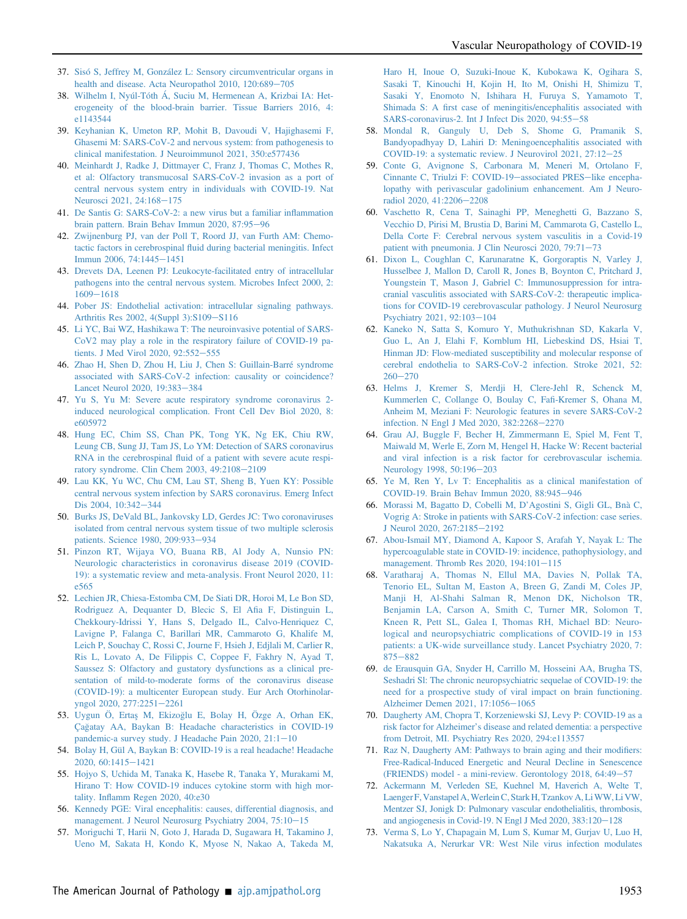- <span id="page-7-0"></span>37. [Sisó S, Jeffrey M, González L: Sensory circumventricular organs in](http://refhub.elsevier.com/S0002-9440(21)00260-1/sref37) [health and disease. Acta Neuropathol 2010, 120:689](http://refhub.elsevier.com/S0002-9440(21)00260-1/sref37)-[705](http://refhub.elsevier.com/S0002-9440(21)00260-1/sref37)
- <span id="page-7-1"></span>38. [Wilhelm I, Nyúl-Tóth Á, Suciu M, Hermenean A, Krizbai IA: Het](http://refhub.elsevier.com/S0002-9440(21)00260-1/sref38)[erogeneity of the blood-brain barrier. Tissue Barriers 2016, 4:](http://refhub.elsevier.com/S0002-9440(21)00260-1/sref38) [e1143544](http://refhub.elsevier.com/S0002-9440(21)00260-1/sref38)
- <span id="page-7-2"></span>39. [Keyhanian K, Umeton RP, Mohit B, Davoudi V, Hajighasemi F,](http://refhub.elsevier.com/S0002-9440(21)00260-1/sref39) [Ghasemi M: SARS-CoV-2 and nervous system: from pathogenesis to](http://refhub.elsevier.com/S0002-9440(21)00260-1/sref39) [clinical manifestation. J Neuroimmunol 2021, 350:e577436](http://refhub.elsevier.com/S0002-9440(21)00260-1/sref39)
- <span id="page-7-3"></span>40. [Meinhardt J, Radke J, Dittmayer C, Franz J, Thomas C, Mothes R,](http://refhub.elsevier.com/S0002-9440(21)00260-1/sref40) [et al: Olfactory transmucosal SARS-CoV-2 invasion as a port of](http://refhub.elsevier.com/S0002-9440(21)00260-1/sref40) [central nervous system entry in individuals with COVID-19. Nat](http://refhub.elsevier.com/S0002-9440(21)00260-1/sref40) [Neurosci 2021, 24:168](http://refhub.elsevier.com/S0002-9440(21)00260-1/sref40)-[175](http://refhub.elsevier.com/S0002-9440(21)00260-1/sref40)
- <span id="page-7-4"></span>41. [De Santis G: SARS-CoV-2: a new virus but a familiar in](http://refhub.elsevier.com/S0002-9440(21)00260-1/sref41)flammation [brain pattern. Brain Behav Immun 2020, 87:95](http://refhub.elsevier.com/S0002-9440(21)00260-1/sref41)-[96](http://refhub.elsevier.com/S0002-9440(21)00260-1/sref41)
- <span id="page-7-5"></span>42. [Zwijnenburg PJ, van der Poll T, Roord JJ, van Furth AM: Chemo](http://refhub.elsevier.com/S0002-9440(21)00260-1/sref42)tactic factors in cerebrospinal fl[uid during bacterial meningitis. Infect](http://refhub.elsevier.com/S0002-9440(21)00260-1/sref42) [Immun 2006, 74:1445](http://refhub.elsevier.com/S0002-9440(21)00260-1/sref42)-[1451](http://refhub.elsevier.com/S0002-9440(21)00260-1/sref42)
- <span id="page-7-6"></span>43. [Drevets DA, Leenen PJ: Leukocyte-facilitated entry of intracellular](http://refhub.elsevier.com/S0002-9440(21)00260-1/sref43) [pathogens into the central nervous system. Microbes Infect 2000, 2:](http://refhub.elsevier.com/S0002-9440(21)00260-1/sref43) [1609](http://refhub.elsevier.com/S0002-9440(21)00260-1/sref43)-[1618](http://refhub.elsevier.com/S0002-9440(21)00260-1/sref43)
- <span id="page-7-7"></span>44. [Pober JS: Endothelial activation: intracellular signaling pathways.](http://refhub.elsevier.com/S0002-9440(21)00260-1/sref44) [Arthritis Res 2002, 4\(Suppl 3\):S109](http://refhub.elsevier.com/S0002-9440(21)00260-1/sref44)-[S116](http://refhub.elsevier.com/S0002-9440(21)00260-1/sref44)
- <span id="page-7-8"></span>45. [Li YC, Bai WZ, Hashikawa T: The neuroinvasive potential of SARS-](http://refhub.elsevier.com/S0002-9440(21)00260-1/sref45)[CoV2 may play a role in the respiratory failure of COVID-19 pa](http://refhub.elsevier.com/S0002-9440(21)00260-1/sref45)[tients. J Med Virol 2020, 92:552](http://refhub.elsevier.com/S0002-9440(21)00260-1/sref45)-[555](http://refhub.elsevier.com/S0002-9440(21)00260-1/sref45)
- <span id="page-7-9"></span>46. [Zhao H, Shen D, Zhou H, Liu J, Chen S: Guillain-Barré syndrome](http://refhub.elsevier.com/S0002-9440(21)00260-1/sref46) [associated with SARS-CoV-2 infection: causality or coincidence?](http://refhub.elsevier.com/S0002-9440(21)00260-1/sref46) [Lancet Neurol 2020, 19:383](http://refhub.elsevier.com/S0002-9440(21)00260-1/sref46)-[384](http://refhub.elsevier.com/S0002-9440(21)00260-1/sref46)
- <span id="page-7-10"></span>47. [Yu S, Yu M: Severe acute respiratory syndrome coronavirus 2](http://refhub.elsevier.com/S0002-9440(21)00260-1/sref47) [induced neurological complication. Front Cell Dev Biol 2020, 8:](http://refhub.elsevier.com/S0002-9440(21)00260-1/sref47) [e605972](http://refhub.elsevier.com/S0002-9440(21)00260-1/sref47)
- <span id="page-7-11"></span>48. [Hung EC, Chim SS, Chan PK, Tong YK, Ng EK, Chiu RW,](http://refhub.elsevier.com/S0002-9440(21)00260-1/sref48) [Leung CB, Sung JJ, Tam JS, Lo YM: Detection of SARS coronavirus](http://refhub.elsevier.com/S0002-9440(21)00260-1/sref48) RNA in the cerebrospinal fl[uid of a patient with severe acute respi](http://refhub.elsevier.com/S0002-9440(21)00260-1/sref48)[ratory syndrome. Clin Chem 2003, 49:2108](http://refhub.elsevier.com/S0002-9440(21)00260-1/sref48)-[2109](http://refhub.elsevier.com/S0002-9440(21)00260-1/sref48)
- <span id="page-7-12"></span>49. [Lau KK, Yu WC, Chu CM, Lau ST, Sheng B, Yuen KY: Possible](http://refhub.elsevier.com/S0002-9440(21)00260-1/sref49) [central nervous system infection by SARS coronavirus. Emerg Infect](http://refhub.elsevier.com/S0002-9440(21)00260-1/sref49) [Dis 2004, 10:342](http://refhub.elsevier.com/S0002-9440(21)00260-1/sref49)-[344](http://refhub.elsevier.com/S0002-9440(21)00260-1/sref49)
- <span id="page-7-13"></span>50. [Burks JS, DeVald BL, Jankovsky LD, Gerdes JC: Two coronaviruses](http://refhub.elsevier.com/S0002-9440(21)00260-1/sref50) [isolated from central nervous system tissue of two multiple sclerosis](http://refhub.elsevier.com/S0002-9440(21)00260-1/sref50) [patients. Science 1980, 209:933](http://refhub.elsevier.com/S0002-9440(21)00260-1/sref50)-[934](http://refhub.elsevier.com/S0002-9440(21)00260-1/sref50)
- <span id="page-7-14"></span>51. [Pinzon RT, Wijaya VO, Buana RB, Al Jody A, Nunsio PN:](http://refhub.elsevier.com/S0002-9440(21)00260-1/sref51) [Neurologic characteristics in coronavirus disease 2019 \(COVID-](http://refhub.elsevier.com/S0002-9440(21)00260-1/sref51)[19\): a systematic review and meta-analysis. Front Neurol 2020, 11:](http://refhub.elsevier.com/S0002-9440(21)00260-1/sref51) [e565](http://refhub.elsevier.com/S0002-9440(21)00260-1/sref51)
- <span id="page-7-15"></span>52. [Lechien JR, Chiesa-Estomba CM, De Siati DR, Horoi M, Le Bon SD,](http://refhub.elsevier.com/S0002-9440(21)00260-1/sref52) [Rodriguez A, Dequanter D, Blecic S, El A](http://refhub.elsevier.com/S0002-9440(21)00260-1/sref52)fia F, Distinguin L, [Chekkoury-Idrissi Y, Hans S, Delgado IL, Calvo-Henriquez C,](http://refhub.elsevier.com/S0002-9440(21)00260-1/sref52) [Lavigne P, Falanga C, Barillari MR, Cammaroto G, Khalife M,](http://refhub.elsevier.com/S0002-9440(21)00260-1/sref52) [Leich P, Souchay C, Rossi C, Journe F, Hsieh J, Edjlali M, Carlier R,](http://refhub.elsevier.com/S0002-9440(21)00260-1/sref52) [Ris L, Lovato A, De Filippis C, Coppee F, Fakhry N, Ayad T,](http://refhub.elsevier.com/S0002-9440(21)00260-1/sref52) [Saussez S: Olfactory and gustatory dysfunctions as a clinical pre](http://refhub.elsevier.com/S0002-9440(21)00260-1/sref52)[sentation of mild-to-moderate forms of the coronavirus disease](http://refhub.elsevier.com/S0002-9440(21)00260-1/sref52) [\(COVID-19\): a multicenter European study. Eur Arch Otorhinolar](http://refhub.elsevier.com/S0002-9440(21)00260-1/sref52)[yngol 2020, 277:2251](http://refhub.elsevier.com/S0002-9440(21)00260-1/sref52)-[2261](http://refhub.elsevier.com/S0002-9440(21)00260-1/sref52)
- <span id="page-7-16"></span>53. [Uygun Ö, Erta](http://refhub.elsevier.com/S0002-9440(21)00260-1/sref53)s¸ [M, Ekizo](http://refhub.elsevier.com/S0002-9440(21)00260-1/sref53)g[lu E, Bolay H, Özge A, Orhan EK,](http://refhub.elsevier.com/S0002-9440(21)00260-1/sref53) [Çagatay AA, Baykan B: Headache characteristics in COVID-19](http://refhub.elsevier.com/S0002-9440(21)00260-1/sref53) pandemic-a survey study. J Headache Pain  $2020$ ,  $21:1-10$  $21:1-10$
- <span id="page-7-17"></span>54. [Bolay H, Gül A, Baykan B: COVID-19 is a real headache! Headache](http://refhub.elsevier.com/S0002-9440(21)00260-1/sref54) [2020, 60:1415](http://refhub.elsevier.com/S0002-9440(21)00260-1/sref54)-[1421](http://refhub.elsevier.com/S0002-9440(21)00260-1/sref54)
- <span id="page-7-18"></span>55. [Hojyo S, Uchida M, Tanaka K, Hasebe R, Tanaka Y, Murakami M,](http://refhub.elsevier.com/S0002-9440(21)00260-1/sref55) [Hirano T: How COVID-19 induces cytokine storm with high mor](http://refhub.elsevier.com/S0002-9440(21)00260-1/sref55)tality. Infl[amm Regen 2020, 40:e30](http://refhub.elsevier.com/S0002-9440(21)00260-1/sref55)
- <span id="page-7-19"></span>56. [Kennedy PGE: Viral encephalitis: causes, differential diagnosis, and](http://refhub.elsevier.com/S0002-9440(21)00260-1/sref56) [management. J Neurol Neurosurg Psychiatry 2004, 75:10](http://refhub.elsevier.com/S0002-9440(21)00260-1/sref56)-[15](http://refhub.elsevier.com/S0002-9440(21)00260-1/sref56)
- <span id="page-7-20"></span>57. [Moriguchi T, Harii N, Goto J, Harada D, Sugawara H, Takamino J,](http://refhub.elsevier.com/S0002-9440(21)00260-1/sref57) [Ueno M, Sakata H, Kondo K, Myose N, Nakao A, Takeda M,](http://refhub.elsevier.com/S0002-9440(21)00260-1/sref57)

[Haro H, Inoue O, Suzuki-Inoue K, Kubokawa K, Ogihara S,](http://refhub.elsevier.com/S0002-9440(21)00260-1/sref57) [Sasaki T, Kinouchi H, Kojin H, Ito M, Onishi H, Shimizu T,](http://refhub.elsevier.com/S0002-9440(21)00260-1/sref57) [Sasaki Y, Enomoto N, Ishihara H, Furuya S, Yamamoto T,](http://refhub.elsevier.com/S0002-9440(21)00260-1/sref57) Shimada S: A fi[rst case of meningitis/encephalitis associated with](http://refhub.elsevier.com/S0002-9440(21)00260-1/sref57) [SARS-coronavirus-2. Int J Infect Dis 2020, 94:55](http://refhub.elsevier.com/S0002-9440(21)00260-1/sref57)-[58](http://refhub.elsevier.com/S0002-9440(21)00260-1/sref57)

- <span id="page-7-21"></span>58. [Mondal R, Ganguly U, Deb S, Shome G, Pramanik S,](http://refhub.elsevier.com/S0002-9440(21)00260-1/sref58) [Bandyopadhyay D, Lahiri D: Meningoencephalitis associated with](http://refhub.elsevier.com/S0002-9440(21)00260-1/sref58) COVID-19: a systematic review. J Neurovirol  $2021$ ,  $27:12-25$  $27:12-25$
- <span id="page-7-22"></span>59. [Conte G, Avignone S, Carbonara M, Meneri M, Ortolano F,](http://refhub.elsevier.com/S0002-9440(21)00260-1/sref59) [Cinnante C, Triulzi F: COVID-19](http://refhub.elsevier.com/S0002-9440(21)00260-1/sref59)-[associated PRES](http://refhub.elsevier.com/S0002-9440(21)00260-1/sref59)-[like encepha](http://refhub.elsevier.com/S0002-9440(21)00260-1/sref59)[lopathy with perivascular gadolinium enhancement. Am J Neuro](http://refhub.elsevier.com/S0002-9440(21)00260-1/sref59)[radiol 2020, 41:2206](http://refhub.elsevier.com/S0002-9440(21)00260-1/sref59)-[2208](http://refhub.elsevier.com/S0002-9440(21)00260-1/sref59)
- <span id="page-7-23"></span>60. [Vaschetto R, Cena T, Sainaghi PP, Meneghetti G, Bazzano S,](http://refhub.elsevier.com/S0002-9440(21)00260-1/sref60) [Vecchio D, Pirisi M, Brustia D, Barini M, Cammarota G, Castello L,](http://refhub.elsevier.com/S0002-9440(21)00260-1/sref60) [Della Corte F: Cerebral nervous system vasculitis in a Covid-19](http://refhub.elsevier.com/S0002-9440(21)00260-1/sref60) [patient with pneumonia. J Clin Neurosci 2020, 79:71](http://refhub.elsevier.com/S0002-9440(21)00260-1/sref60)-[73](http://refhub.elsevier.com/S0002-9440(21)00260-1/sref60)
- <span id="page-7-24"></span>61. [Dixon L, Coughlan C, Karunaratne K, Gorgoraptis N, Varley J,](http://refhub.elsevier.com/S0002-9440(21)00260-1/sref61) [Husselbee J, Mallon D, Caroll R, Jones B, Boynton C, Pritchard J,](http://refhub.elsevier.com/S0002-9440(21)00260-1/sref61) [Youngstein T, Mason J, Gabriel C: Immunosuppression for intra](http://refhub.elsevier.com/S0002-9440(21)00260-1/sref61)[cranial vasculitis associated with SARS-CoV-2: therapeutic implica](http://refhub.elsevier.com/S0002-9440(21)00260-1/sref61)[tions for COVID-19 cerebrovascular pathology. J Neurol Neurosurg](http://refhub.elsevier.com/S0002-9440(21)00260-1/sref61) [Psychiatry 2021, 92:103](http://refhub.elsevier.com/S0002-9440(21)00260-1/sref61)-[104](http://refhub.elsevier.com/S0002-9440(21)00260-1/sref61)
- <span id="page-7-25"></span>62. [Kaneko N, Satta S, Komuro Y, Muthukrishnan SD, Kakarla V,](http://refhub.elsevier.com/S0002-9440(21)00260-1/sref62) [Guo L, An J, Elahi F, Kornblum HI, Liebeskind DS, Hsiai T,](http://refhub.elsevier.com/S0002-9440(21)00260-1/sref62) [Hinman JD: Flow-mediated susceptibility and molecular response of](http://refhub.elsevier.com/S0002-9440(21)00260-1/sref62) [cerebral endothelia to SARS-CoV-2 infection. Stroke 2021, 52:](http://refhub.elsevier.com/S0002-9440(21)00260-1/sref62)  $260 - 270$  $260 - 270$  $260 - 270$
- <span id="page-7-26"></span>63. [Helms J, Kremer S, Merdji H, Clere-Jehl R, Schenck M,](http://refhub.elsevier.com/S0002-9440(21)00260-1/sref63) [Kummerlen C, Collange O, Boulay C, Fa](http://refhub.elsevier.com/S0002-9440(21)00260-1/sref63)fi-Kremer S, Ohana M, [Anheim M, Meziani F: Neurologic features in severe SARS-CoV-2](http://refhub.elsevier.com/S0002-9440(21)00260-1/sref63) [infection. N Engl J Med 2020, 382:2268](http://refhub.elsevier.com/S0002-9440(21)00260-1/sref63)-[2270](http://refhub.elsevier.com/S0002-9440(21)00260-1/sref63)
- <span id="page-7-27"></span>64. [Grau AJ, Buggle F, Becher H, Zimmermann E, Spiel M, Fent T,](http://refhub.elsevier.com/S0002-9440(21)00260-1/sref64) [Maiwald M, Werle E, Zorn M, Hengel H, Hacke W: Recent bacterial](http://refhub.elsevier.com/S0002-9440(21)00260-1/sref64) [and viral infection is a risk factor for cerebrovascular ischemia.](http://refhub.elsevier.com/S0002-9440(21)00260-1/sref64) [Neurology 1998, 50:196](http://refhub.elsevier.com/S0002-9440(21)00260-1/sref64)-[203](http://refhub.elsevier.com/S0002-9440(21)00260-1/sref64)
- <span id="page-7-28"></span>65. [Ye M, Ren Y, Lv T: Encephalitis as a clinical manifestation of](http://refhub.elsevier.com/S0002-9440(21)00260-1/sref65) [COVID-19. Brain Behav Immun 2020, 88:945](http://refhub.elsevier.com/S0002-9440(21)00260-1/sref65)-[946](http://refhub.elsevier.com/S0002-9440(21)00260-1/sref65)
- <span id="page-7-29"></span>66. [Morassi M, Bagatto D, Cobelli M, D](http://refhub.elsevier.com/S0002-9440(21)00260-1/sref66)'Agostini S, Gigli GL, Bnà C, [Vogrig A: Stroke in patients with SARS-CoV-2 infection: case series.](http://refhub.elsevier.com/S0002-9440(21)00260-1/sref66) [J Neurol 2020, 267:2185](http://refhub.elsevier.com/S0002-9440(21)00260-1/sref66)-[2192](http://refhub.elsevier.com/S0002-9440(21)00260-1/sref66)
- <span id="page-7-30"></span>67. [Abou-Ismail MY, Diamond A, Kapoor S, Arafah Y, Nayak L: The](http://refhub.elsevier.com/S0002-9440(21)00260-1/sref67) [hypercoagulable state in COVID-19: incidence, pathophysiology, and](http://refhub.elsevier.com/S0002-9440(21)00260-1/sref67) management. Thromb Res 2020,  $194:101-115$  $194:101-115$
- <span id="page-7-31"></span>68. [Varatharaj A, Thomas N, Ellul MA, Davies N, Pollak TA,](http://refhub.elsevier.com/S0002-9440(21)00260-1/sref68) [Tenorio EL, Sultan M, Easton A, Breen G, Zandi M, Coles JP,](http://refhub.elsevier.com/S0002-9440(21)00260-1/sref68) [Manji H, Al-Shahi Salman R, Menon DK, Nicholson TR,](http://refhub.elsevier.com/S0002-9440(21)00260-1/sref68) [Benjamin LA, Carson A, Smith C, Turner MR, Solomon T,](http://refhub.elsevier.com/S0002-9440(21)00260-1/sref68) [Kneen R, Pett SL, Galea I, Thomas RH, Michael BD: Neuro](http://refhub.elsevier.com/S0002-9440(21)00260-1/sref68)[logical and neuropsychiatric complications of COVID-19 in 153](http://refhub.elsevier.com/S0002-9440(21)00260-1/sref68) [patients: a UK-wide surveillance study. Lancet Psychiatry 2020, 7:](http://refhub.elsevier.com/S0002-9440(21)00260-1/sref68) [875](http://refhub.elsevier.com/S0002-9440(21)00260-1/sref68)-[882](http://refhub.elsevier.com/S0002-9440(21)00260-1/sref68)
- <span id="page-7-32"></span>69. [de Erausquin GA, Snyder H, Carrillo M, Hosseini AA, Brugha TS,](http://refhub.elsevier.com/S0002-9440(21)00260-1/sref69) [Seshadri Sl: The chronic neuropsychiatric sequelae of COVID-19: the](http://refhub.elsevier.com/S0002-9440(21)00260-1/sref69) [need for a prospective study of viral impact on brain functioning.](http://refhub.elsevier.com/S0002-9440(21)00260-1/sref69) [Alzheimer Demen 2021, 17:1056](http://refhub.elsevier.com/S0002-9440(21)00260-1/sref69)-[1065](http://refhub.elsevier.com/S0002-9440(21)00260-1/sref69)
- <span id="page-7-33"></span>70. [Daugherty AM, Chopra T, Korzeniewski SJ, Levy P: COVID-19 as a](http://refhub.elsevier.com/S0002-9440(21)00260-1/sref70) risk factor for Alzheimer'[s disease and related dementia: a perspective](http://refhub.elsevier.com/S0002-9440(21)00260-1/sref70) [from Detroit, MI. Psychiatry Res 2020, 294:e113557](http://refhub.elsevier.com/S0002-9440(21)00260-1/sref70)
- <span id="page-7-34"></span>71. [Raz N, Daugherty AM: Pathways to brain aging and their modi](http://refhub.elsevier.com/S0002-9440(21)00260-1/sref71)fiers: [Free-Radical-Induced Energetic and Neural Decline in Senescence](http://refhub.elsevier.com/S0002-9440(21)00260-1/sref71) (FRIENDS) model - a mini-review. Gerontology  $2018$ ,  $64:49-57$  $64:49-57$
- <span id="page-7-35"></span>72. [Ackermann M, Verleden SE, Kuehnel M, Haverich A, Welte T,](http://refhub.elsevier.com/S0002-9440(21)00260-1/sref72) [Laenger F, Vanstapel A,Werlein C, Stark H, Tzankov A, LiWW, Li VW,](http://refhub.elsevier.com/S0002-9440(21)00260-1/sref72) [Mentzer SJ, Jonigk D: Pulmonary vascular endothelialitis, thrombosis,](http://refhub.elsevier.com/S0002-9440(21)00260-1/sref72) and angiogenesis in Covid-19. N Engl J Med  $2020$ ,  $383:120-128$  $383:120-128$
- <span id="page-7-36"></span>73. [Verma S, Lo Y, Chapagain M, Lum S, Kumar M, Gurjav U, Luo H,](http://refhub.elsevier.com/S0002-9440(21)00260-1/sref73) [Nakatsuka A, Nerurkar VR: West Nile virus infection modulates](http://refhub.elsevier.com/S0002-9440(21)00260-1/sref73)